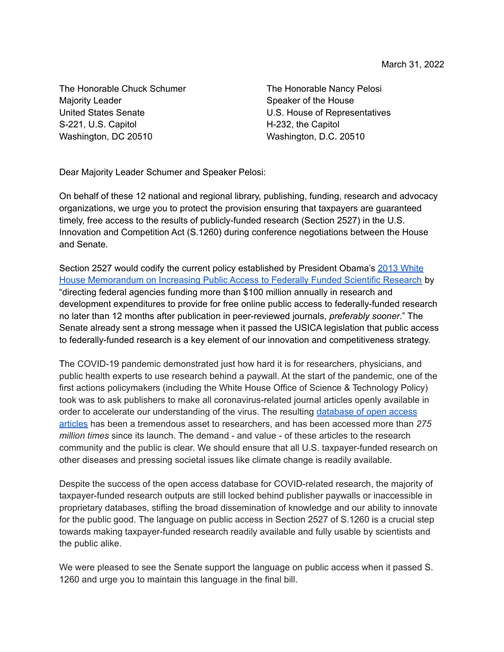The Honorable Chuck Schumer Majority Leader United States Senate S-221, U.S. Capitol Washington, DC 20510

The Honorable Nancy Pelosi Speaker of the House U.S. House of Representatives H-232, the Capitol Washington, D.C. 20510

Dear Majority Leader Schumer and Speaker Pelosi:

On behalf of these 12 national and regional library, publishing, funding, research and advocacy organizations, we urge you to protect the provision ensuring that taxpayers are guaranteed timely, free access to the results of publicly-funded research (Section 2527) in the U.S. Innovation and Competition Act (S.1260) during conference negotiations between the House and Senate.

Section 2527 would codify the current policy established by President Obama's 2013 [White](https://obamawhitehouse.archives.gov/sites/default/files/microsites/ostp/ostp_public_access_memo_2013.pdf) House [Memorandum](https://obamawhitehouse.archives.gov/sites/default/files/microsites/ostp/ostp_public_access_memo_2013.pdf) on Increasing Public Access to Federally Funded Scientific Research by "directing federal agencies funding more than \$100 million annually in research and development expenditures to provide for free online public access to federally-funded research no later than 12 months after publication in peer-reviewed journals, *preferably sooner*." The Senate already sent a strong message when it passed the USICA legislation that public access to federally-funded research is a key element of our innovation and competitiveness strategy.

The COVID-19 pandemic demonstrated just how hard it is for researchers, physicians, and public health experts to use research behind a paywall. At the start of the pandemic, one of the first actions policymakers (including the White House Office of Science & Technology Policy) took was to ask publishers to make all coronavirus-related journal articles openly available in order to accelerate our understanding of the virus. The resulting [database](https://sparcopen.org/news/2020/strong-community-response-to-free-scholarly-article-access-to-fight-covid-19/) of open access [articles](https://sparcopen.org/news/2020/strong-community-response-to-free-scholarly-article-access-to-fight-covid-19/) has been a tremendous asset to researchers, and has been accessed more than *275 million times* since its launch. The demand - and value - of these articles to the research community and the public is clear. We should ensure that all U.S. taxpayer-funded research on other diseases and pressing societal issues like climate change is readily available.

Despite the success of the open access database for COVID-related research, the majority of taxpayer-funded research outputs are still locked behind publisher paywalls or inaccessible in proprietary databases, stifling the broad dissemination of knowledge and our ability to innovate for the public good. The language on public access in Section 2527 of S.1260 is a crucial step towards making taxpayer-funded research readily available and fully usable by scientists and the public alike.

We were pleased to see the Senate support the language on public access when it passed S. 1260 and urge you to maintain this language in the final bill.